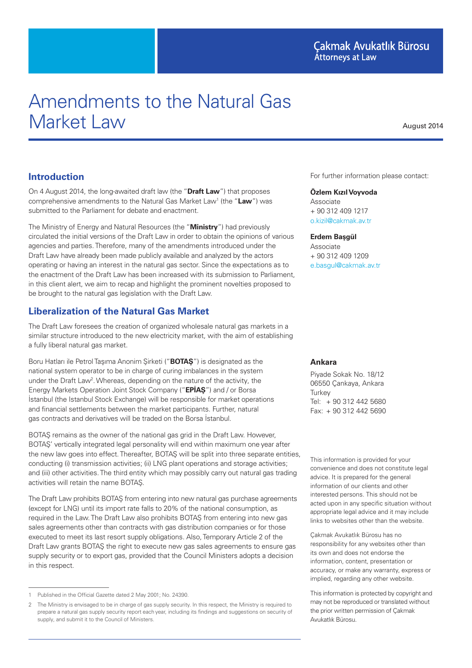# Amendments to the Natural Gas Market Law

August 2014

#### **Introduction**

On 4 August 2014, the long-awaited draft law (the "**Draft Law**") that proposes comprehensive amendments to the Natural Gas Market Law<sup>1</sup> (the "Law") was submitted to the Parliament for debate and enactment.

The Ministry of Energy and Natural Resources (the "**Ministry**") had previously circulated the initial versions of the Draft Law in order to obtain the opinions of various agencies and parties. Therefore, many of the amendments introduced under the Draft Law have already been made publicly available and analyzed by the actors operating or having an interest in the natural gas sector. Since the expectations as to the enactment of the Draft Law has been increased with its submission to Parliament, in this client alert, we aim to recap and highlight the prominent novelties proposed to be brought to the natural gas legislation with the Draft Law.

### **Liberalization of the Natural Gas Market**

The Draft Law foresees the creation of organized wholesale natural gas markets in a similar structure introduced to the new electricity market, with the aim of establishing a fully liberal natural gas market.

Boru Hatları ile Petrol Taşıma Anonim Şirketi ("**BOTAŞ**") is designated as the national system operator to be in charge of curing imbalances in the system under the Draft Law<sup>2</sup>. Whereas, depending on the nature of the activity, the Energy Markets Operation Joint Stock Company ("**EPİAŞ**") and / or Borsa İstanbul (the Istanbul Stock Exchange) will be responsible for market operations and financial settlements between the market participants. Further, natural gas contracts and derivatives will be traded on the Borsa İstanbul.

BOTAŞ remains as the owner of the national gas grid in the Draft Law. However, BOTAŞ' vertically integrated legal personality will end within maximum one year after the new law goes into effect. Thereafter, BOTAŞ will be split into three separate entities, conducting (i) transmission activities; (ii) LNG plant operations and storage activities; and (iii) other activities. The third entity which may possibly carry out natural gas trading activities will retain the name BOTAŞ.

The Draft Law prohibits BOTAŞ from entering into new natural gas purchase agreements (except for LNG) until its import rate falls to 20% of the national consumption, as required in the Law. The Draft Law also prohibits BOTAŞ from entering into new gas sales agreements other than contracts with gas distribution companies or for those executed to meet its last resort supply obligations. Also, Temporary Article 2 of the Draft Law grants BOTAŞ the right to execute new gas sales agreements to ensure gas supply security or to export gas, provided that the Council Ministers adopts a decision in this respect.

For further information please contact:

#### **Özlem Kızıl Voyvoda**

Associate + 90 312 409 1217 o.kizil@cakmak.av.tr

**Erdem Başgül**

Associate + 90 312 409 1209 e.basgul@cakmak.av.tr

#### **Ankara**

Piyade Sokak No. 18/12 06550 Çankaya, Ankara **Turkey** Tel: + 90 312 442 5680 Fax: + 90 312 442 5690

This information is provided for your convenience and does not constitute legal advice. It is prepared for the general information of our clients and other interested persons. This should not be acted upon in any specific situation without appropriate legal advice and it may include links to websites other than the website.

Çakmak Avukatlık Bürosu has no responsibility for any websites other than its own and does not endorse the information, content, presentation or accuracy, or make any warranty, express or implied, regarding any other website.

This information is protected by copyright and may not be reproduced or translated without the prior written permission of Çakmak Avukatlık Bürosu.

<sup>1</sup> Published in the Official Gazette dated 2 May 2001; No. 24390.

<sup>2</sup> The Ministry is envisaged to be in charge of gas supply security. In this respect, the Ministry is required to prepare a natural gas supply security report each year, including its findings and suggestions on security of supply, and submit it to the Council of Ministers.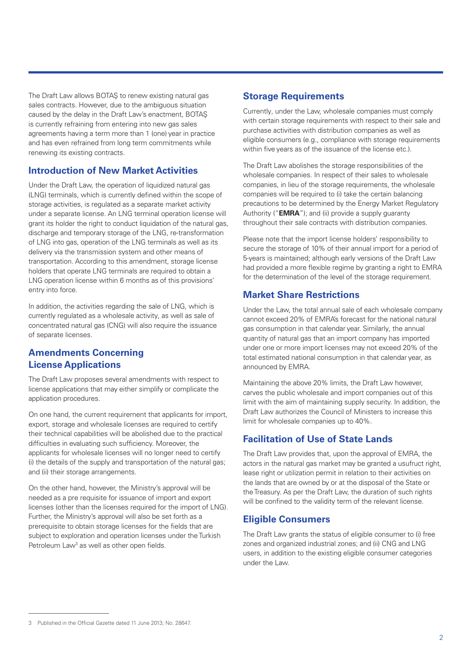The Draft Law allows BOTAŞ to renew existing natural gas sales contracts. However, due to the ambiguous situation caused by the delay in the Draft Law's enactment, BOTAŞ is currently refraining from entering into new gas sales agreements having a term more than 1 (one) year in practice and has even refrained from long term commitments while renewing its existing contracts.

#### **Introduction of New Market Activities**

Under the Draft Law, the operation of liquidized natural gas (LNG) terminals, which is currently defined within the scope of storage activities, is regulated as a separate market activity under a separate license. An LNG terminal operation license will grant its holder the right to conduct liquidation of the natural gas, discharge and temporary storage of the LNG, re-transformation of LNG into gas, operation of the LNG terminals as well as its delivery via the transmission system and other means of transportation. According to this amendment, storage license holders that operate LNG terminals are required to obtain a LNG operation license within 6 months as of this provisions' entry into force.

In addition, the activities regarding the sale of LNG, which is currently regulated as a wholesale activity, as well as sale of concentrated natural gas (CNG) will also require the issuance of separate licenses.

### **Amendments Concerning License Applications**

The Draft Law proposes several amendments with respect to license applications that may either simplify or complicate the application procedures.

On one hand, the current requirement that applicants for import, export, storage and wholesale licenses are required to certify their technical capabilities will be abolished due to the practical difficulties in evaluating such sufficiency. Moreover, the applicants for wholesale licenses will no longer need to certify (i) the details of the supply and transportation of the natural gas; and (ii) their storage arrangements.

On the other hand, however, the Ministry's approval will be needed as a pre requisite for issuance of import and export licenses (other than the licenses required for the import of LNG). Further, the Ministry's approval will also be set forth as a prerequisite to obtain storage licenses for the fields that are subject to exploration and operation licenses under the Turkish Petroleum Law<sup>3</sup> as well as other open fields.

## **Storage Requirements**

Currently, under the Law, wholesale companies must comply with certain storage requirements with respect to their sale and purchase activities with distribution companies as well as eligible consumers (e.g., compliance with storage requirements within five years as of the issuance of the license etc.).

The Draft Law abolishes the storage responsibilities of the wholesale companies. In respect of their sales to wholesale companies, in lieu of the storage requirements, the wholesale companies will be required to (i) take the certain balancing precautions to be determined by the Energy Market Regulatory Authority ("**EMRA**"); and (ii) provide a supply guaranty throughout their sale contracts with distribution companies.

Please note that the import license holders' responsibility to secure the storage of 10% of their annual import for a period of 5-years is maintained; although early versions of the Draft Law had provided a more flexible regime by granting a right to EMRA for the determination of the level of the storage requirement.

# **Market Share Restrictions**

Under the Law, the total annual sale of each wholesale company cannot exceed 20% of EMRA's forecast for the national natural gas consumption in that calendar year. Similarly, the annual quantity of natural gas that an import company has imported under one or more import licenses may not exceed 20% of the total estimated national consumption in that calendar year, as announced by EMRA.

Maintaining the above 20% limits, the Draft Law however, carves the public wholesale and import companies out of this limit with the aim of maintaining supply security. In addition, the Draft Law authorizes the Council of Ministers to increase this limit for wholesale companies up to 40%.

# **Facilitation of Use of State Lands**

The Draft Law provides that, upon the approval of EMRA, the actors in the natural gas market may be granted a usufruct right, lease right or utilization permit in relation to their activities on the lands that are owned by or at the disposal of the State or the Treasury. As per the Draft Law, the duration of such rights will be confined to the validity term of the relevant license.

# **Eligible Consumers**

The Draft Law grants the status of eligible consumer to (i) free zones and organized industrial zones; and (ii) CNG and LNG users, in addition to the existing eligible consumer categories under the Law.

<sup>3</sup> Published in the Official Gazette dated 11 June 2013; No. 28647.